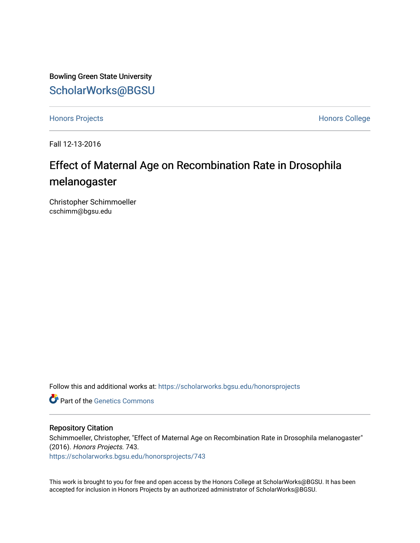Bowling Green State University [ScholarWorks@BGSU](https://scholarworks.bgsu.edu/) 

[Honors Projects](https://scholarworks.bgsu.edu/honorsprojects) **Honors** College

Fall 12-13-2016

## Effect of Maternal Age on Recombination Rate in Drosophila melanogaster

Christopher Schimmoeller cschimm@bgsu.edu

Follow this and additional works at: [https://scholarworks.bgsu.edu/honorsprojects](https://scholarworks.bgsu.edu/honorsprojects?utm_source=scholarworks.bgsu.edu%2Fhonorsprojects%2F743&utm_medium=PDF&utm_campaign=PDFCoverPages) 

**C** Part of the Genetics Commons

#### Repository Citation

Schimmoeller, Christopher, "Effect of Maternal Age on Recombination Rate in Drosophila melanogaster" (2016). Honors Projects. 743. [https://scholarworks.bgsu.edu/honorsprojects/743](https://scholarworks.bgsu.edu/honorsprojects/743?utm_source=scholarworks.bgsu.edu%2Fhonorsprojects%2F743&utm_medium=PDF&utm_campaign=PDFCoverPages) 

This work is brought to you for free and open access by the Honors College at ScholarWorks@BGSU. It has been accepted for inclusion in Honors Projects by an authorized administrator of ScholarWorks@BGSU.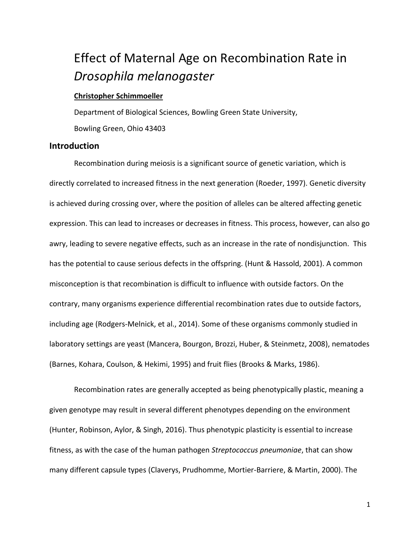# Effect of Maternal Age on Recombination Rate in *Drosophila melanogaster*

#### **Christopher Schimmoeller**

Department of Biological Sciences, Bowling Green State University, Bowling Green, Ohio 43403

#### **Introduction**

Recombination during meiosis is a significant source of genetic variation, which is directly correlated to increased fitness in the next generation (Roeder, 1997). Genetic diversity is achieved during crossing over, where the position of alleles can be altered affecting genetic expression. This can lead to increases or decreases in fitness. This process, however, can also go awry, leading to severe negative effects, such as an increase in the rate of nondisjunction. This has the potential to cause serious defects in the offspring. (Hunt & Hassold, 2001). A common misconception is that recombination is difficult to influence with outside factors. On the contrary, many organisms experience differential recombination rates due to outside factors, including age (Rodgers-Melnick, et al., 2014). Some of these organisms commonly studied in laboratory settings are yeast (Mancera, Bourgon, Brozzi, Huber, & Steinmetz, 2008), nematodes (Barnes, Kohara, Coulson, & Hekimi, 1995) and fruit flies (Brooks & Marks, 1986).

Recombination rates are generally accepted as being phenotypically plastic, meaning a given genotype may result in several different phenotypes depending on the environment (Hunter, Robinson, Aylor, & Singh, 2016). Thus phenotypic plasticity is essential to increase fitness, as with the case of the human pathogen *Streptococcus pneumoniae*, that can show many different capsule types (Claverys, Prudhomme, Mortier-Barriere, & Martin, 2000). The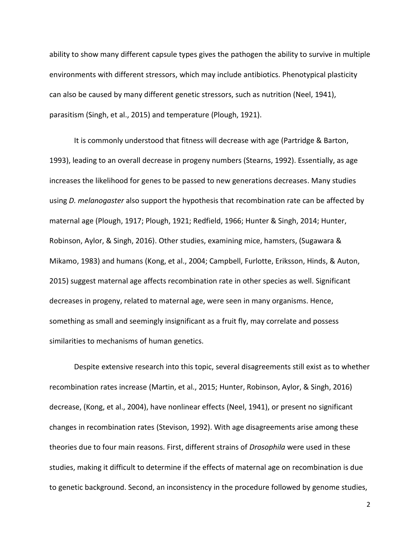ability to show many different capsule types gives the pathogen the ability to survive in multiple environments with different stressors, which may include antibiotics. Phenotypical plasticity can also be caused by many different genetic stressors, such as nutrition (Neel, 1941), parasitism (Singh, et al., 2015) and temperature (Plough, 1921).

It is commonly understood that fitness will decrease with age (Partridge & Barton, 1993), leading to an overall decrease in progeny numbers (Stearns, 1992). Essentially, as age increases the likelihood for genes to be passed to new generations decreases. Many studies using *D. melanogaster* also support the hypothesis that recombination rate can be affected by maternal age (Plough, 1917; Plough, 1921; Redfield, 1966; Hunter & Singh, 2014; Hunter, Robinson, Aylor, & Singh, 2016). Other studies, examining mice, hamsters, (Sugawara & Mikamo, 1983) and humans (Kong, et al., 2004; Campbell, Furlotte, Eriksson, Hinds, & Auton, 2015) suggest maternal age affects recombination rate in other species as well. Significant decreases in progeny, related to maternal age, were seen in many organisms. Hence, something as small and seemingly insignificant as a fruit fly, may correlate and possess similarities to mechanisms of human genetics.

Despite extensive research into this topic, several disagreements still exist as to whether recombination rates increase (Martin, et al., 2015; Hunter, Robinson, Aylor, & Singh, 2016) decrease, (Kong, et al., 2004), have nonlinear effects (Neel, 1941), or present no significant changes in recombination rates (Stevison, 1992). With age disagreements arise among these theories due to four main reasons. First, different strains of *Drosophila* were used in these studies, making it difficult to determine if the effects of maternal age on recombination is due to genetic background. Second, an inconsistency in the procedure followed by genome studies,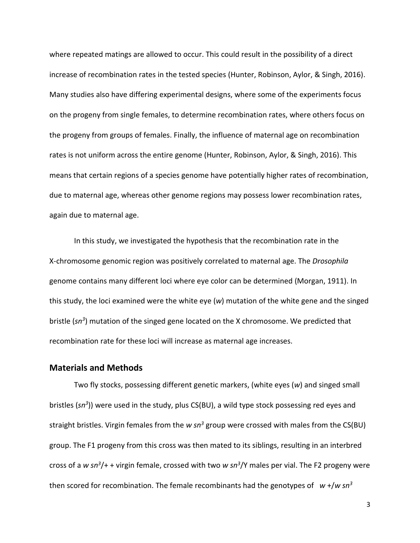where repeated matings are allowed to occur. This could result in the possibility of a direct increase of recombination rates in the tested species (Hunter, Robinson, Aylor, & Singh, 2016). Many studies also have differing experimental designs, where some of the experiments focus on the progeny from single females, to determine recombination rates, where others focus on the progeny from groups of females. Finally, the influence of maternal age on recombination rates is not uniform across the entire genome (Hunter, Robinson, Aylor, & Singh, 2016). This means that certain regions of a species genome have potentially higher rates of recombination, due to maternal age, whereas other genome regions may possess lower recombination rates, again due to maternal age.

In this study, we investigated the hypothesis that the recombination rate in the X-chromosome genomic region was positively correlated to maternal age. The *Drosophila* genome contains many different loci where eye color can be determined (Morgan, 1911). In this study, the loci examined were the white eye (*w*) mutation of the white gene and the singed bristle (*sn<sup>3</sup>* ) mutation of the singed gene located on the X chromosome. We predicted that recombination rate for these loci will increase as maternal age increases.

#### **Materials and Methods**

Two fly stocks, possessing different genetic markers, (white eyes (*w*) and singed small bristles (*sn<sup>3</sup>* )) were used in the study, plus CS(BU), a wild type stock possessing red eyes and straight bristles. Virgin females from the *w sn<sup>3</sup>* group were crossed with males from the CS(BU) group. The F1 progeny from this cross was then mated to its siblings, resulting in an interbred cross of a *w sn<sup>3</sup>* /+ + virgin female, crossed with two *w sn<sup>3</sup>* /Y males per vial. The F2 progeny were then scored for recombination. The female recombinants had the genotypes of *w* +/*w sn<sup>3</sup>*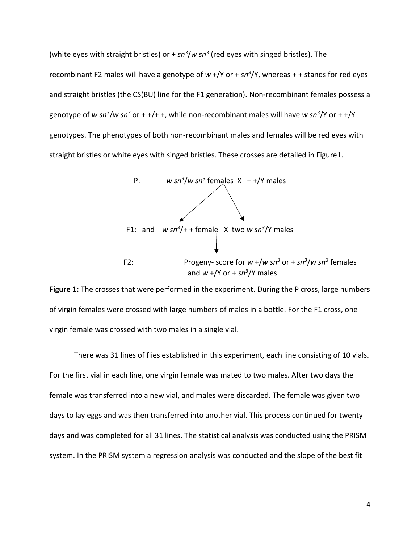(white eyes with straight bristles) or + sn<sup>3</sup>/w sn<sup>3</sup> (red eyes with singed bristles). The recombinant F2 males will have a genotype of *w* +/Y or + *sn<sup>3</sup>* /Y, whereas + + stands for red eyes and straight bristles (the CS(BU) line for the F1 generation). Non-recombinant females possess a genotype of *w sn<sup>3</sup>* /*w sn<sup>3</sup>* or + +/+ +, while non-recombinant males will have *w sn<sup>3</sup>* /Y or + +/Y genotypes. The phenotypes of both non-recombinant males and females will be red eyes with straight bristles or white eyes with singed bristles. These crosses are detailed in Figure1.



**Figure 1:** The crosses that were performed in the experiment. During the P cross, large numbers of virgin females were crossed with large numbers of males in a bottle. For the F1 cross, one virgin female was crossed with two males in a single vial.

There was 31 lines of flies established in this experiment, each line consisting of 10 vials. For the first vial in each line, one virgin female was mated to two males. After two days the female was transferred into a new vial, and males were discarded. The female was given two days to lay eggs and was then transferred into another vial. This process continued for twenty days and was completed for all 31 lines. The statistical analysis was conducted using the PRISM system. In the PRISM system a regression analysis was conducted and the slope of the best fit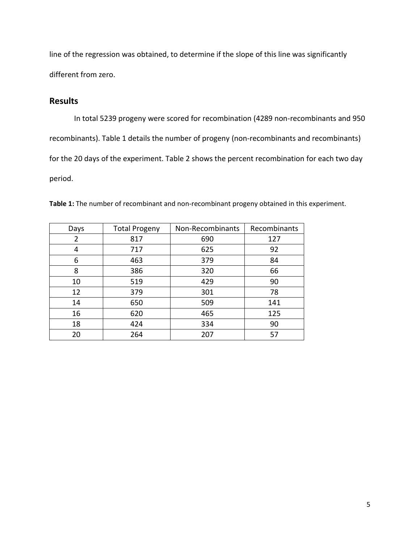line of the regression was obtained, to determine if the slope of this line was significantly different from zero.

#### **Results**

In total 5239 progeny were scored for recombination (4289 non-recombinants and 950 recombinants). Table 1 details the number of progeny (non-recombinants and recombinants) for the 20 days of the experiment. Table 2 shows the percent recombination for each two day period.

| Days | <b>Total Progeny</b> | Non-Recombinants | Recombinants |
|------|----------------------|------------------|--------------|
| 2    | 817                  | 690              | 127          |
| 4    | 717                  | 625              | 92           |
| 6    | 463                  | 379              | 84           |
| 8    | 386                  | 320              | 66           |
| 10   | 519                  | 429              | 90           |
| 12   | 379                  | 301              | 78           |
| 14   | 650                  | 509              | 141          |
| 16   | 620                  | 465              | 125          |
| 18   | 424                  | 334              | 90           |
| 20   | 264                  | 207              | 57           |

**Table 1:** The number of recombinant and non-recombinant progeny obtained in this experiment.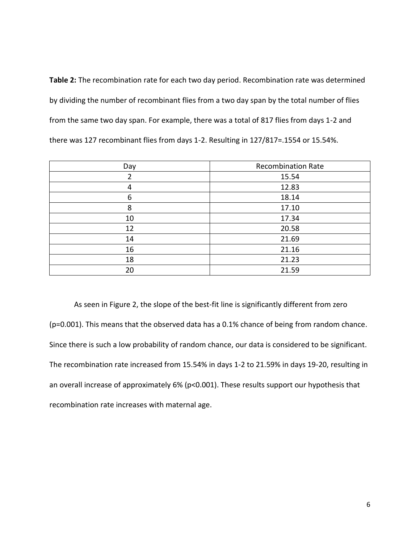**Table 2:** The recombination rate for each two day period. Recombination rate was determined by dividing the number of recombinant flies from a two day span by the total number of flies from the same two day span. For example, there was a total of 817 flies from days 1-2 and there was 127 recombinant flies from days 1-2. Resulting in 127/817=.1554 or 15.54%.

| Day | <b>Recombination Rate</b> |
|-----|---------------------------|
| 2   | 15.54                     |
| 4   | 12.83                     |
| 6   | 18.14                     |
| 8   | 17.10                     |
| 10  | 17.34                     |
| 12  | 20.58                     |
| 14  | 21.69                     |
| 16  | 21.16                     |
| 18  | 21.23                     |
| 20  | 21.59                     |

As seen in Figure 2, the slope of the best-fit line is significantly different from zero (p=0.001). This means that the observed data has a 0.1% chance of being from random chance. Since there is such a low probability of random chance, our data is considered to be significant. The recombination rate increased from 15.54% in days 1-2 to 21.59% in days 19-20, resulting in an overall increase of approximately 6% (p<0.001). These results support our hypothesis that recombination rate increases with maternal age.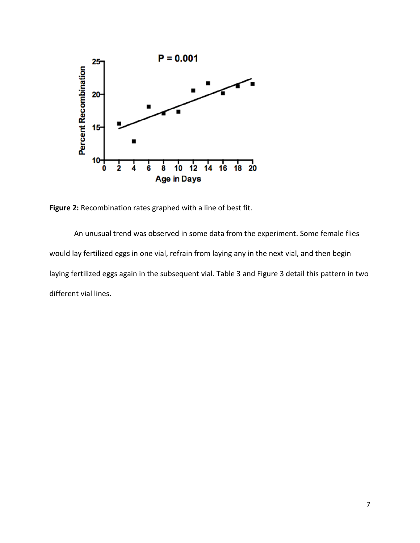

**Figure 2:** Recombination rates graphed with a line of best fit.

An unusual trend was observed in some data from the experiment. Some female flies would lay fertilized eggs in one vial, refrain from laying any in the next vial, and then begin laying fertilized eggs again in the subsequent vial. Table 3 and Figure 3 detail this pattern in two different vial lines.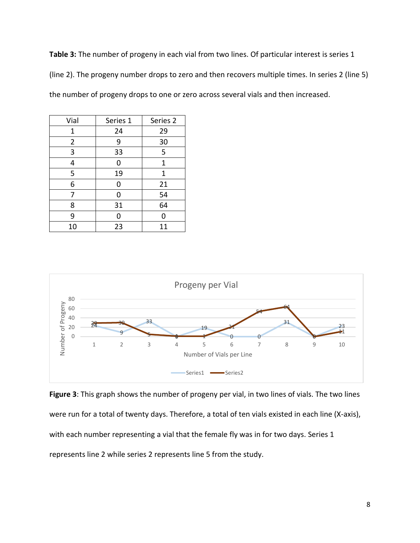**Table 3:** The number of progeny in each vial from two lines. Of particular interest is series 1 (line 2). The progeny number drops to zero and then recovers multiple times. In series 2 (line 5) the number of progeny drops to one or zero across several vials and then increased.

| Vial           | Series 1 | Series 2    |
|----------------|----------|-------------|
| 1              | 24       | 29          |
| $\overline{2}$ | 9        | 30          |
| 3              | 33       | 5           |
| 4              | 0        | 1           |
| 5              | 19       | $\mathbf 1$ |
| 6              | 0        | 21          |
| 7              | 0        | 54          |
| 8              | 31       | 64          |
| 9              | 0        | U           |
| 10             | 23       | 11          |



**Figure 3**: This graph shows the number of progeny per vial, in two lines of vials. The two lines were run for a total of twenty days. Therefore, a total of ten vials existed in each line (X-axis), with each number representing a vial that the female fly was in for two days. Series 1 represents line 2 while series 2 represents line 5 from the study.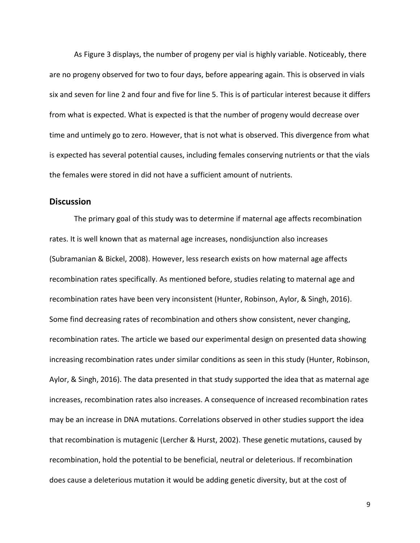As Figure 3 displays, the number of progeny per vial is highly variable. Noticeably, there are no progeny observed for two to four days, before appearing again. This is observed in vials six and seven for line 2 and four and five for line 5. This is of particular interest because it differs from what is expected. What is expected is that the number of progeny would decrease over time and untimely go to zero. However, that is not what is observed. This divergence from what is expected has several potential causes, including females conserving nutrients or that the vials the females were stored in did not have a sufficient amount of nutrients.

#### **Discussion**

The primary goal of this study was to determine if maternal age affects recombination rates. It is well known that as maternal age increases, nondisjunction also increases (Subramanian & Bickel, 2008). However, less research exists on how maternal age affects recombination rates specifically. As mentioned before, studies relating to maternal age and recombination rates have been very inconsistent (Hunter, Robinson, Aylor, & Singh, 2016). Some find decreasing rates of recombination and others show consistent, never changing, recombination rates. The article we based our experimental design on presented data showing increasing recombination rates under similar conditions as seen in this study (Hunter, Robinson, Aylor, & Singh, 2016). The data presented in that study supported the idea that as maternal age increases, recombination rates also increases. A consequence of increased recombination rates may be an increase in DNA mutations. Correlations observed in other studies support the idea that recombination is mutagenic (Lercher & Hurst, 2002). These genetic mutations, caused by recombination, hold the potential to be beneficial, neutral or deleterious. If recombination does cause a deleterious mutation it would be adding genetic diversity, but at the cost of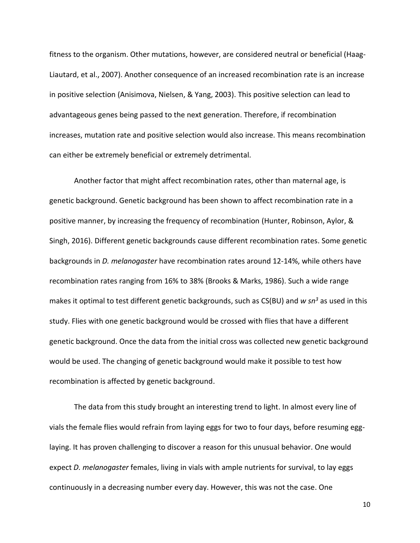fitness to the organism. Other mutations, however, are considered neutral or beneficial (Haag-Liautard, et al., 2007). Another consequence of an increased recombination rate is an increase in positive selection (Anisimova, Nielsen, & Yang, 2003). This positive selection can lead to advantageous genes being passed to the next generation. Therefore, if recombination increases, mutation rate and positive selection would also increase. This means recombination can either be extremely beneficial or extremely detrimental.

Another factor that might affect recombination rates, other than maternal age, is genetic background. Genetic background has been shown to affect recombination rate in a positive manner, by increasing the frequency of recombination (Hunter, Robinson, Aylor, & Singh, 2016). Different genetic backgrounds cause different recombination rates. Some genetic backgrounds in *D. melanogaster* have recombination rates around 12-14%, while others have recombination rates ranging from 16% to 38% (Brooks & Marks, 1986). Such a wide range makes it optimal to test different genetic backgrounds, such as CS(BU) and *w sn<sup>3</sup>* as used in this study. Flies with one genetic background would be crossed with flies that have a different genetic background. Once the data from the initial cross was collected new genetic background would be used. The changing of genetic background would make it possible to test how recombination is affected by genetic background.

The data from this study brought an interesting trend to light. In almost every line of vials the female flies would refrain from laying eggs for two to four days, before resuming egglaying. It has proven challenging to discover a reason for this unusual behavior. One would expect *D. melanogaster* females, living in vials with ample nutrients for survival, to lay eggs continuously in a decreasing number every day. However, this was not the case. One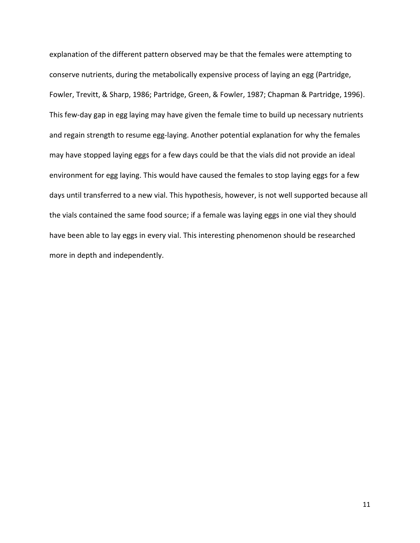explanation of the different pattern observed may be that the females were attempting to conserve nutrients, during the metabolically expensive process of laying an egg (Partridge, Fowler, Trevitt, & Sharp, 1986; Partridge, Green, & Fowler, 1987; Chapman & Partridge, 1996). This few-day gap in egg laying may have given the female time to build up necessary nutrients and regain strength to resume egg-laying. Another potential explanation for why the females may have stopped laying eggs for a few days could be that the vials did not provide an ideal environment for egg laying. This would have caused the females to stop laying eggs for a few days until transferred to a new vial. This hypothesis, however, is not well supported because all the vials contained the same food source; if a female was laying eggs in one vial they should have been able to lay eggs in every vial. This interesting phenomenon should be researched more in depth and independently.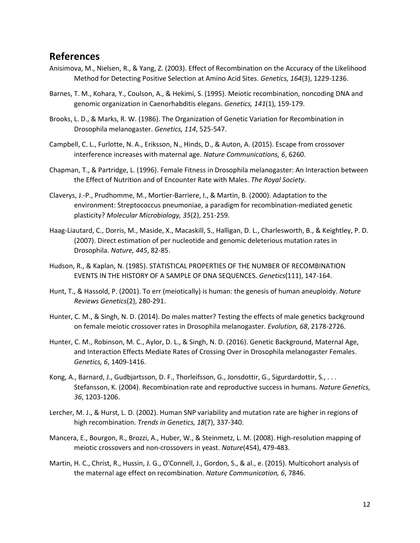### **References**

- Anisimova, M., Nielsen, R., & Yang, Z. (2003). Effect of Recombination on the Accuracy of the Likelihood Method for Detecting Positive Selection at Amino Acid Sites. *Genetics, 164*(3), 1229-1236.
- Barnes, T. M., Kohara, Y., Coulson, A., & Hekimi, S. (1995). Meiotic recombination, noncoding DNA and genomic organization in Caenorhabditis elegans. *Genetics, 141*(1), 159-179.
- Brooks, L. D., & Marks, R. W. (1986). The Organization of Genetic Variation for Recombination in Drosophila melanogaster. *Genetics, 114*, 525-547.
- Campbell, C. L., Furlotte, N. A., Eriksson, N., Hinds, D., & Auton, A. (2015). Escape from crossover interference increases with maternal age. *Nature Communications, 6*, 6260.
- Chapman, T., & Partridge, L. (1996). Female Fitness in Drosophila melanogaster: An Interaction between the Effect of Nutrition and of Encounter Rate with Males. *The Royal Society*.
- Claverys, J.-P., Prudhomme, M., Mortier-Barriere, I., & Martin, B. (2000). Adaptation to the environment: Streptococcus pneumoniae, a paradigm for recombination-mediated genetic plasticity? *Molecular Microbiology, 35*(2), 251-259.
- Haag-Liautard, C., Dorris, M., Maside, X., Macaskill, S., Halligan, D. L., Charlesworth, B., & Keightley, P. D. (2007). Direct estimation of per nucleotide and genomic deleterious mutation rates in Drosophila. *Nature, 445*, 82-85.
- Hudson, R., & Kaplan, N. (1985). STATISTICAL PROPERTIES OF THE NUMBER OF RECOMBINATION EVENTS IN THE HISTORY OF A SAMPLE OF DNA SEQUENCES. *Genetics*(111), 147-164.
- Hunt, T., & Hassold, P. (2001). To err (meiotically) is human: the genesis of human aneuploidy. *Nature Reviews Genetics*(2), 280-291.
- Hunter, C. M., & Singh, N. D. (2014). Do males matter? Testing the effects of male genetics background on female meiotic crossover rates in Drosophila melanogaster. *Evolution, 68*, 2178-2726.
- Hunter, C. M., Robinson, M. C., Aylor, D. L., & Singh, N. D. (2016). Genetic Background, Maternal Age, and Interaction Effects Mediate Rates of Crossing Over in Drosophila melanogaster Females. *Genetics, 6*, 1409-1416.
- Kong, A., Barnard, J., Gudbjartsson, D. F., Thorleifsson, G., Jonsdottir, G., Sigurdardottir, S., . . . Stefansson, K. (2004). Recombination rate and reproductive success in humans. *Nature Genetics, 36*, 1203-1206.
- Lercher, M. J., & Hurst, L. D. (2002). Human SNP variability and mutation rate are higher in regions of high recombination. *Trends in Genetics, 18*(7), 337-340.
- Mancera, E., Bourgon, R., Brozzi, A., Huber, W., & Steinmetz, L. M. (2008). High-resolution mapping of meiotic crossovers and non-crossovers in yeast. *Nature*(454), 479-483.
- Martin, H. C., Christ, R., Hussin, J. G., O'Connell, J., Gordon, S., & al., e. (2015). Multicohort analysis of the maternal age effect on recombination. *Nature Communication, 6*, 7846.